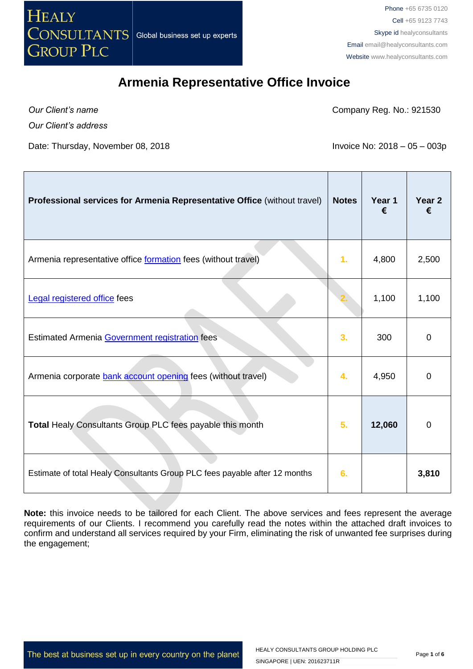

*Our Client's name*

Company Reg. No.: 921530

*Our Client's address*

Date: Thursday, November 08, 2018 **Invoice No: 2018** - 05 – 003p

| Professional services for Armenia Representative Office (without travel)   | <b>Notes</b> | Year 1<br>€ | Year <sub>2</sub> |
|----------------------------------------------------------------------------|--------------|-------------|-------------------|
| Armenia representative office formation fees (without travel)              | 1.           | 4,800       | 2,500             |
| <b>Legal registered office fees</b>                                        |              | 1,100       | 1,100             |
| Estimated Armenia Government registration fees                             | 3.           | 300         | $\Omega$          |
| Armenia corporate bank account opening fees (without travel)               | 4.           | 4,950       | $\Omega$          |
| Total Healy Consultants Group PLC fees payable this month                  | 5.           | 12,060      | 0                 |
| Estimate of total Healy Consultants Group PLC fees payable after 12 months | 6.           |             | 3,810             |

**Note:** this invoice needs to be tailored for each Client. The above services and fees represent the average requirements of our Clients. I recommend you carefully read the notes within the attached draft invoices to confirm and understand all services required by your Firm, eliminating the risk of unwanted fee surprises during the engagement;

The best at business set up in every country on the planet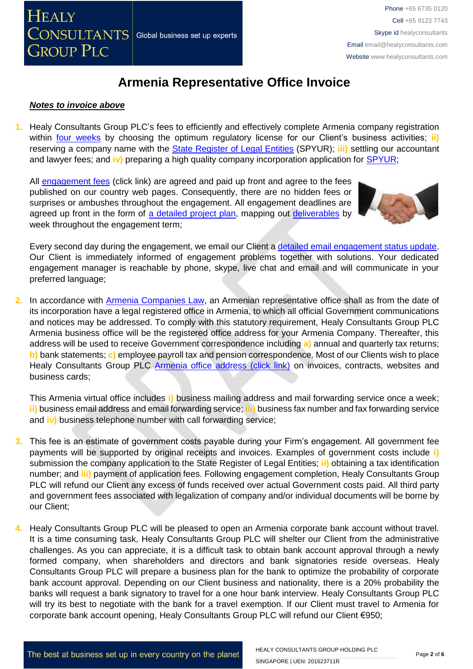### *Notes to invoice above*

**1.** Healy Consultants Group PLC's fees to efficiently and effectively complete Armenia company registration within [four weeks](http://www.healyconsultants.com/armenia-company-registration/fees-and-timelines/#timelines) by choosing the optimum regulatory license for our Client's business activities; **ii**) reserving a company name with the [State Register of Legal Entities](http://www.spyur.am/en/companies/state-register-agency-of-legal-entities-of-the-republic-of-armenia/70292) (SPYUR); **iii)** settling our accountant and lawyer fees; and **iv)** preparing a high quality company incorporation application for [SPYUR;](http://www.spyur.am/en/companies/state-register-agency-of-legal-entities-of-the-republic-of-armenia/70292)

All [engagement fees](http://www.healyconsultants.com/company-registration-fees/) (click link) are agreed and paid up front and agree to the fees published on our country web pages. Consequently, there are no hidden fees or surprises or ambushes throughout the engagement. All engagement deadlines are agreed up front in the form of [a detailed project plan,](http://www.healyconsultants.com/index-important-links/example-project-plan/) mapping out [deliverables](http://www.healyconsultants.com/deliverables-to-our-clients/) by week throughout the engagement term;



Every second day during the engagement, we email our Client [a detailed email engagement status update.](http://www.healyconsultants.com/index-important-links/weekly-engagement-status-email/) Our Client is immediately informed of engagement problems together with solutions. Your dedicated engagement manager is reachable by phone, skype, live chat and email and will communicate in your preferred language;

**2.** In accordance with [Armenia Companies Law,](http://www.parliament.am/law_docs/211101HO252eng.pdf) an Armenian representative office shall as from the date of its incorporation have a legal registered office in Armenia, to which all official Government communications and notices may be addressed. To comply with this statutory requirement, Healy Consultants Group PLC Armenia business office will be the registered office address for your Armenia Company. Thereafter, this address will be used to receive Government correspondence including **a)** annual and quarterly tax returns; **b)** bank statements; **c)** employee payroll tax and pension correspondence. Most of our Clients wish to place Healy Consultants Group PLC [Armenia office address \(click link\)](http://www.healyconsultants.com/virtual-office/) on invoices, contracts, websites and business cards;

This Armenia virtual office includes **i)** business mailing address and mail forwarding service once a week; **ii)** business email address and email forwarding service; **iii)** business fax number and fax forwarding service and **iv)** business telephone number with call forwarding service;

- **3.** This fee is an estimate of government costs payable during your Firm's engagement. All government fee payments will be supported by original receipts and invoices. Examples of government costs include **i)** submission the company application to the State Register of Legal Entities; **ii)** obtaining a tax identification number; and **iii)** payment of application fees. Following engagement completion, Healy Consultants Group PLC will refund our Client any excess of funds received over actual Government costs paid. All third party and government fees associated with legalization of company and/or individual documents will be borne by our Client;
- **4.** Healy Consultants Group PLC will be pleased to open an Armenia corporate bank account without travel. It is a time consuming task, Healy Consultants Group PLC will shelter our Client from the administrative challenges. As you can appreciate, it is a difficult task to obtain bank account approval through a newly formed company, when shareholders and directors and bank signatories reside overseas. Healy Consultants Group PLC will prepare a business plan for the bank to optimize the probability of corporate bank account approval. Depending on our Client business and nationality, there is a 20% probability the banks will request a bank signatory to travel for a one hour bank interview. Healy Consultants Group PLC will try its best to negotiate with the bank for a travel exemption. If our Client must travel to Armenia for corporate bank account opening, Healy Consultants Group PLC will refund our Client €950;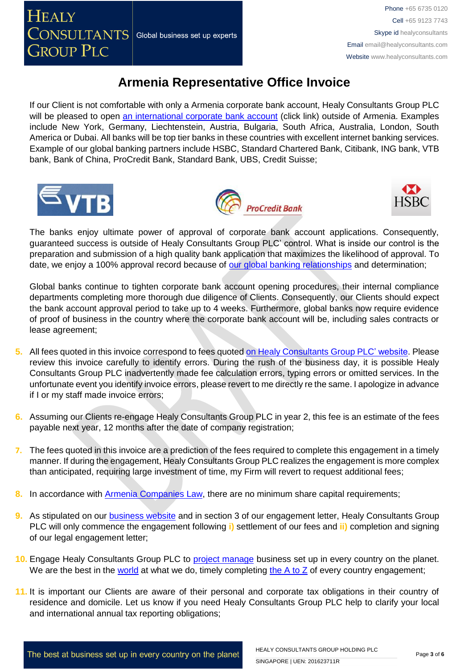If our Client is not comfortable with only a Armenia corporate bank account, Healy Consultants Group PLC will be pleased to open [an international corporate bank account](http://www.healyconsultants.com/international-banking/) (click link) outside of Armenia. Examples include New York, Germany, Liechtenstein, Austria, Bulgaria, South Africa, Australia, London, South America or Dubai. All banks will be top tier banks in these countries with excellent internet banking services. Example of our global banking partners include HSBC, Standard Chartered Bank, Citibank, ING bank, VTB bank, Bank of China, ProCredit Bank, Standard Bank, UBS, Credit Suisse;







The banks enjoy ultimate power of approval of corporate bank account applications. Consequently, guaranteed success is outside of Healy Consultants Group PLC' control. What is inside our control is the preparation and submission of a high quality bank application that maximizes the likelihood of approval. To date, we enjoy a 100% approval record because of [our global banking relationships](http://www.healyconsultants.com/international-banking/corporate-accounts/) and determination;

Global banks continue to tighten corporate bank account opening procedures, their internal compliance departments completing more thorough due diligence of Clients. Consequently, our Clients should expect the bank account approval period to take up to 4 weeks. Furthermore, global banks now require evidence of proof of business in the country where the corporate bank account will be, including sales contracts or lease agreement;

- **5.** All fees quoted in this invoice correspond to fees quote[d on Healy Consultants Group PLC' website.](http://www.healyconsultants.com/company-registration-fees/) Please review this invoice carefully to identify errors. During the rush of the business day, it is possible Healy Consultants Group PLC inadvertently made fee calculation errors, typing errors or omitted services. In the unfortunate event you identify invoice errors, please revert to me directly re the same. I apologize in advance if I or my staff made invoice errors;
- **6.** Assuming our Clients re-engage Healy Consultants Group PLC in year 2, this fee is an estimate of the fees payable next year, 12 months after the date of company registration;
- **7.** The fees quoted in this invoice are a prediction of the fees required to complete this engagement in a timely manner. If during the engagement, Healy Consultants Group PLC realizes the engagement is more complex than anticipated, requiring large investment of time, my Firm will revert to request additional fees;
- **8.** In accordance with **Armenia Companies Law**, there are no minimum share capital requirements;
- **9.** As stipulated on our [business website](http://www.healyconsultants.com/) and in section 3 of our engagement letter, Healy Consultants Group PLC will only commence the engagement following **i)** settlement of our fees and **ii)** completion and signing of our legal engagement letter;
- **10.** Engage Healy Consultants Group PLC to [project manage](http://www.healyconsultants.com/project-manage-engagements/) business set up in every country on the planet. We are the best in the [world](http://www.healyconsultants.com/best-in-the-world/) at what we do, timely completing the  $A$  to  $Z$  of every country engagement;
- **11.** It is important our Clients are aware of their personal and corporate tax obligations in their country of residence and domicile. Let us know if you need Healy Consultants Group PLC help to clarify your local and international annual tax reporting obligations;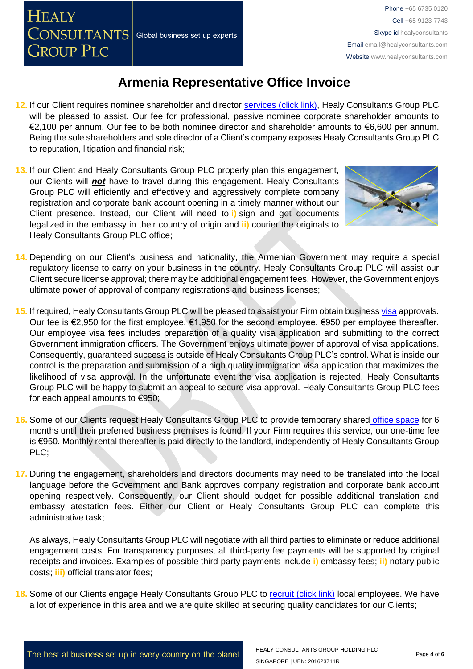**HEALY** 

**GROUP PLC** 

Phone +65 6735 0120 Cell +65 9123 7743 Skype id healyconsultants Email [email@healyconsultants.com](mailto:EMAIL@HEALYCONSULTANTS.COM) Website [www.healyconsultants.com](http://www.healyconsultants.com/)

### **Armenia Representative Office Invoice**

- **12.** If our Client requires nominee shareholder and director [services \(click link\),](http://www.healyconsultants.com/corporate-outsourcing-services/nominee-shareholders-directors/) Healy Consultants Group PLC will be pleased to assist. Our fee for professional, passive nominee corporate shareholder amounts to €2,100 per annum. Our fee to be both nominee director and shareholder amounts to €6,600 per annum. Being the sole shareholders and sole director of a Client's company exposes Healy Consultants Group PLC to reputation, litigation and financial risk;
- **13.** If our Client and Healy Consultants Group PLC properly plan this engagement, our Clients will *not* have to travel during this engagement. Healy Consultants Group PLC will efficiently and effectively and aggressively complete company registration and corporate bank account opening in a timely manner without our Client presence. Instead, our Client will need to **i)** sign and get documents legalized in the embassy in their country of origin and **ii)** courier the originals to Healy Consultants Group PLC office;



- **14.** Depending on our Client's business and nationality, the Armenian Government may require a special regulatory license to carry on your business in the country. Healy Consultants Group PLC will assist our Client secure license approval; there may be additional engagement fees. However, the Government enjoys ultimate power of approval of company registrations and business licenses;
- **15.** If required, Healy Consultants Group PLC will be pleased to assist your Firm obtain business [visa](http://www.healyconsultants.com/migration/) approvals. Our fee is €2,950 for the first employee, €1,950 for the second employee, €950 per employee thereafter. Our employee visa fees includes preparation of a quality visa application and submitting to the correct Government immigration officers. The Government enjoys ultimate power of approval of visa applications. Consequently, guaranteed success is outside of Healy Consultants Group PLC's control. What is inside our control is the preparation and submission of a high quality immigration visa application that maximizes the likelihood of visa approval. In the unfortunate event the visa application is rejected, Healy Consultants Group PLC will be happy to submit an appeal to secure visa approval. Healy Consultants Group PLC fees for each appeal amounts to €950;
- **16.** Some of our Clients request Healy Consultants Group PLC to provide temporary shared [office space](http://www.healyconsultants.com/virtual-office/) for 6 months until their preferred business premises is found. If your Firm requires this service, our one-time fee is €950. Monthly rental thereafter is paid directly to the landlord, independently of Healy Consultants Group PLC;
- **17.** During the engagement, shareholders and directors documents may need to be translated into the local language before the Government and Bank approves company registration and corporate bank account opening respectively. Consequently, our Client should budget for possible additional translation and embassy atestation fees. Either our Client or Healy Consultants Group PLC can complete this administrative task;

As always, Healy Consultants Group PLC will negotiate with all third parties to eliminate or reduce additional engagement costs. For transparency purposes, all third-party fee payments will be supported by original receipts and invoices. Examples of possible third-party payments include **i)** embassy fees; **ii)** notary public costs; **iii)** official translator fees;

18. Some of our Clients engage Healy Consultants Group PLC to [recruit \(click link\)](http://www.healyconsultants.com/corporate-outsourcing-services/how-we-help-our-clients-recruit-quality-employees/) local employees. We have a lot of experience in this area and we are quite skilled at securing quality candidates for our Clients;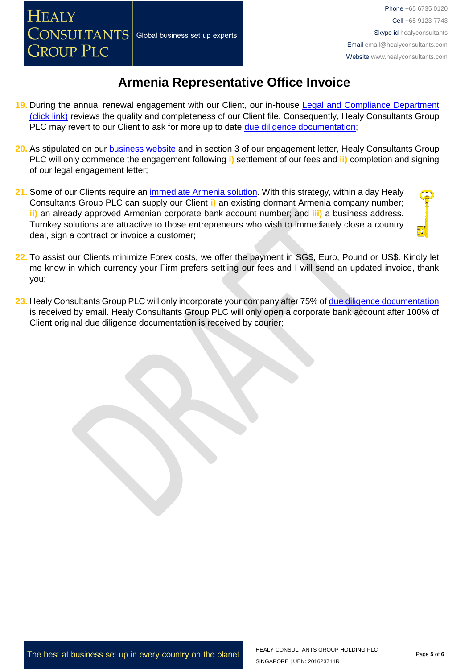- **19.** During the annual renewal engagement with our Client, our in-house [Legal and Compliance Department](http://www.healyconsultants.com/about-us/key-personnel/cai-xin-profile/)  [\(click link\)](http://www.healyconsultants.com/about-us/key-personnel/cai-xin-profile/) reviews the quality and completeness of our Client file. Consequently, Healy Consultants Group PLC may revert to our Client to ask for more up to date [due diligence documentation;](http://www.healyconsultants.com/due-diligence/)
- **20.** As stipulated on our [business website](http://www.healyconsultants.com/) and in section 3 of our engagement letter, Healy Consultants Group PLC will only commence the engagement following **i)** settlement of our fees and **ii)** completion and signing of our legal engagement letter;
- **21.** Some of our Clients require an [immediate Armenia](http://www.healyconsultants.com/turnkey-solutions/) solution. With this strategy, within a day Healy Consultants Group PLC can supply our Client **i)** an existing dormant Armenia company number; **ii)** an already approved Armenian corporate bank account number; and **iii)** a business address. Turnkey solutions are attractive to those entrepreneurs who wish to immediately close a country deal, sign a contract or invoice a customer;
- **22.** To assist our Clients minimize Forex costs, we offer the payment in SG\$, Euro, Pound or US\$. Kindly let me know in which currency your Firm prefers settling our fees and I will send an updated invoice, thank you;
- 23. Healy Consultants Group PLC will only incorporate your company after 75% of [due diligence documentation](http://www.healyconsultants.com/due-diligence/) is received by email. Healy Consultants Group PLC will only open a corporate bank account after 100% of Client original due diligence documentation is received by courier;